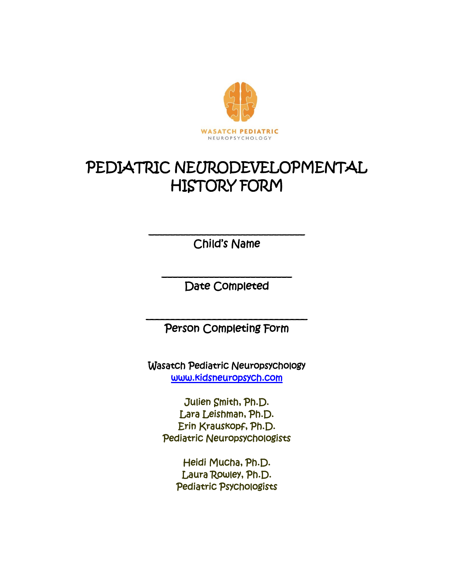

# PEDIATRIC NEURODEVELOPMENTAL HISTORY FORM

\_\_\_\_\_\_\_\_\_\_\_\_\_\_\_\_\_\_\_\_\_\_\_\_\_\_\_\_\_\_ Child's Name

\_\_\_\_\_\_\_\_\_\_\_\_\_\_\_\_\_\_\_\_\_\_\_\_\_ Date Completed

\_\_\_\_\_\_\_\_\_\_\_\_\_\_\_\_\_\_\_\_\_\_\_\_\_\_\_\_\_\_\_ Person Completing Form

Wasatch Pediatric Neuropsychology [www.kidsneuropsych.com](http://www.kidsneuropsych.com/) 

Julien Smith, Ph.D. Lara Leishman, Ph.D. Erin Krauskopf, Ph.D. Pediatric Neuropsychologists

> Heidi Mucha, Ph.D. Laura Rowley, Ph.D. Pediatric Psychologists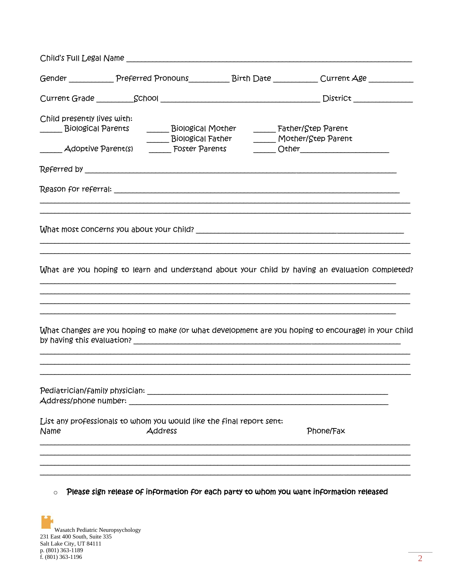| Gender ______________ Preferred Pronouns_____________ Birth Date _____________ Current Age ____________                                                                                                                                                                                                                                |
|----------------------------------------------------------------------------------------------------------------------------------------------------------------------------------------------------------------------------------------------------------------------------------------------------------------------------------------|
|                                                                                                                                                                                                                                                                                                                                        |
| Child presently lives with:<br>______ Biological Mo <del>t</del> her<br>Father/Step Parent<br>_______ Biological Paren <del>t</del> s<br>______ Biological Father<br>Mother/Step Parent<br>_______ Adoptive Parent(s)   ______ Foster Parents    ______ Other_______________                                                           |
|                                                                                                                                                                                                                                                                                                                                        |
| What are you hoping to learn and understand about your child by having an evaluation completed?                                                                                                                                                                                                                                        |
| What Changes are you hoping to make (or what development are you hoping to encourage) in your Child                                                                                                                                                                                                                                    |
| Address/phone number: Address and the set of the set of the set of the set of the set of the set of the set of the set of the set of the set of the set of the set of the set of the set of the set of the set of the set of t<br>List any professionals to whom you would like the final report sent:<br>Address<br>Name<br>Phone/Fax |
|                                                                                                                                                                                                                                                                                                                                        |

 $\circ$  Please sign release of information for each party to whom you want information released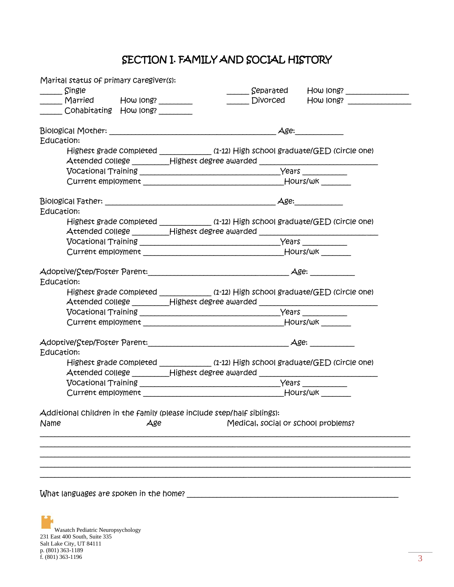# SECTION I. FAMILY AND SOCIAL HISTORY

| Marital status of primary Caregiver(s):                                |                                                                                                                                                                        |
|------------------------------------------------------------------------|------------------------------------------------------------------------------------------------------------------------------------------------------------------------|
| Single                                                                 | Separated<br>How long?                                                                                                                                                 |
| _____ Married How long? _______                                        | <b>Divorced</b><br>How long?                                                                                                                                           |
| Cohabitating How Iong?                                                 |                                                                                                                                                                        |
|                                                                        | Age:                                                                                                                                                                   |
| Education:                                                             |                                                                                                                                                                        |
|                                                                        | Highest grade completed _____________ (1-12) High school graduate/GED (circle one)<br>Attended college __________Highest degree awarded ______________________________ |
|                                                                        |                                                                                                                                                                        |
|                                                                        | Current employment the contract of the contract of the Hours/wk                                                                                                        |
| Education:                                                             |                                                                                                                                                                        |
|                                                                        | Highest grade completed _____________ (1-12) High school graduate/GED (circle one)                                                                                     |
|                                                                        | Attended college _________Highest degree awarded _______________________________                                                                                       |
|                                                                        |                                                                                                                                                                        |
|                                                                        |                                                                                                                                                                        |
|                                                                        |                                                                                                                                                                        |
| Education:                                                             |                                                                                                                                                                        |
|                                                                        | Highest grade completed _____________ (1-12) High school graduate/GED (circle one)<br>Attended college _________Highest degree awarded _______________________________ |
|                                                                        |                                                                                                                                                                        |
|                                                                        |                                                                                                                                                                        |
|                                                                        | Adoptive/Step/Foster Parent: Adoptive/Step/Foster Parent:                                                                                                              |
| Education:                                                             |                                                                                                                                                                        |
|                                                                        | Highest grade completed _____________ (1-12) High school graduate/GED (circle one)                                                                                     |
| Attended college __________Highest degree awarded _______              |                                                                                                                                                                        |
|                                                                        |                                                                                                                                                                        |
|                                                                        |                                                                                                                                                                        |
| Additional children in the family (please include step/half siblings): |                                                                                                                                                                        |
| Name<br>Age                                                            | Medical, social or school problems?                                                                                                                                    |
|                                                                        |                                                                                                                                                                        |
|                                                                        |                                                                                                                                                                        |
|                                                                        |                                                                                                                                                                        |
|                                                                        |                                                                                                                                                                        |

What languages are spoken in the home? \_\_\_\_\_\_\_\_\_\_\_\_\_\_\_\_\_\_\_\_\_\_\_\_\_\_\_\_\_\_\_\_\_\_\_\_\_\_\_\_\_\_\_\_\_\_\_\_\_\_\_\_\_\_\_\_\_

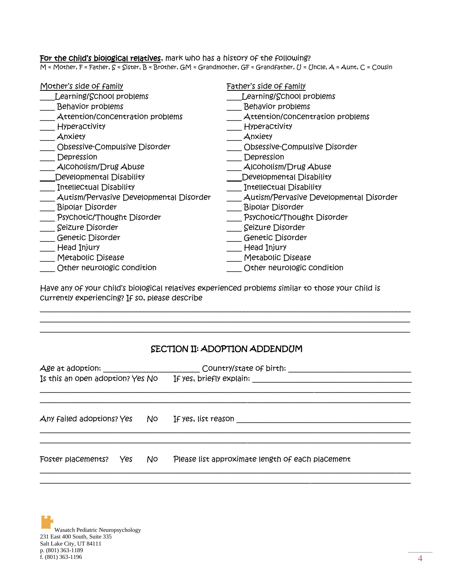### For the child's biological relatives, mark who has a history of the following?

M = Mother, F = Father, S = Sister, B = Brother, GM = Grandmother, GF = Grandfather, U = Uncle, A = Aunt, C = Cousin

| Mother's side of family                 | Father's side of family                 |
|-----------------------------------------|-----------------------------------------|
| Learning/School problems                | Learning/School problems                |
| <b>Behavior problems</b>                | <b>Behavior problems</b>                |
| Attention/concentration problems        | Attention/concentration problems        |
| <b>Hyperactivity</b>                    | <b>Hyperactivity</b>                    |
| Anxiety                                 | Anxiety                                 |
| Obsessive-Compulsive Disorder           | Obsessive-Compulsive Disorder           |
| Depression                              | Depression                              |
| AICOholism/Drug Abuse                   | AICOholism/Drug Abuse                   |
| Developmental Disability                | Developmental Disability                |
| Intellectual Disability                 | Intellectual Disability                 |
| Autism/Pervasive Developmental Disorder | Autism/Pervasive Developmental Disorder |
| <b>Bipolar Disorder</b>                 | <b>Bipolar Disorder</b>                 |
| Psychotic/Thought Disorder              | Psychotic/Thought Disorder              |
| Seizure Disorder                        | Seizure Disorder                        |
| Genetic Disorder                        | Genetic Disorder                        |
| Head Injury                             | Head Injury                             |
| Metabolic Disease                       | Metabolic Disease                       |
| Other neurologic condition              | Other neurologic condition              |
|                                         |                                         |

Have any of your child's biological relatives experienced problems similar to those your child is currently experiencing? If so, please describe

### SECTION II: ADOPTION ADDENDUM

\_\_\_\_\_\_\_\_\_\_\_\_\_\_\_\_\_\_\_\_\_\_\_\_\_\_\_\_\_\_\_\_\_\_\_\_\_\_\_\_\_\_\_\_\_\_\_\_\_\_\_\_\_\_\_\_\_\_\_\_\_\_\_\_\_\_\_\_\_\_\_\_\_\_\_\_\_\_\_\_\_\_\_\_\_\_\_\_\_\_\_\_\_\_\_\_\_\_\_\_ \_\_\_\_\_\_\_\_\_\_\_\_\_\_\_\_\_\_\_\_\_\_\_\_\_\_\_\_\_\_\_\_\_\_\_\_\_\_\_\_\_\_\_\_\_\_\_\_\_\_\_\_\_\_\_\_\_\_\_\_\_\_\_\_\_\_\_\_\_\_\_\_\_\_\_\_\_\_\_\_\_\_\_\_\_\_\_\_\_\_\_\_\_\_\_\_\_\_\_\_ \_\_\_\_\_\_\_\_\_\_\_\_\_\_\_\_\_\_\_\_\_\_\_\_\_\_\_\_\_\_\_\_\_\_\_\_\_\_\_\_\_\_\_\_\_\_\_\_\_\_\_\_\_\_\_\_\_\_\_\_\_\_\_\_\_\_\_\_\_\_\_\_\_\_\_\_\_\_\_\_\_\_\_\_\_\_\_\_\_\_\_\_\_\_\_\_\_\_\_\_

| Is this an open adoption? Yes No |     |     |                                                  |  |
|----------------------------------|-----|-----|--------------------------------------------------|--|
| Any failed adoptions? Yes        |     | No. | If yes, list reason                              |  |
| Foster placements?               | Yes | No  | Please list approximate length of each placement |  |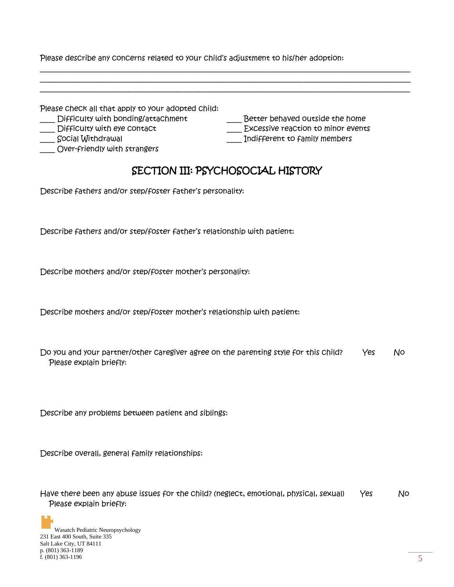Please describe any concerns related to your child's adjustment to his/her adoption:

| Please check all that apply to your adopted child:                                                                     |                                                                                                        |
|------------------------------------------------------------------------------------------------------------------------|--------------------------------------------------------------------------------------------------------|
| Difficulty with bonding/attachment<br>Difficulty with eye contact<br>Social Withdrawal<br>Over-friendly with strangers | Better behaved outside the home<br>Excessive reaction to minor events<br>Indifferent to family members |
|                                                                                                                        | SECTION III: PSYCHOSOCIAL HISTORY                                                                      |

\_\_\_\_\_\_\_\_\_\_\_\_\_\_\_\_\_\_\_\_\_\_\_\_\_\_\_\_\_\_\_\_\_\_\_\_\_\_\_\_\_\_\_\_\_\_\_\_\_\_\_\_\_\_\_\_\_\_\_\_\_\_\_\_\_\_\_\_\_\_\_\_\_\_\_\_\_\_\_\_\_\_\_\_\_\_\_\_\_\_\_\_\_\_\_\_\_\_\_\_

Describe fathers and/or step/foster father's personality:

Describe fathers and/or step/foster father's relationship with patient:

Describe mothers and/or step/foster mother's personality:

Describe mothers and/or step/foster mother's relationship with patient:

Do you and your partner/other caregiver agree on the parenting style for this child? Yes No Please explain briefly:

Describe any problems between patient and siblings:

Describe overall, general family relationships:

Have there been any abuse issues for the child? (neglect, emotional, physical, sexual) Yes No Please explain briefly: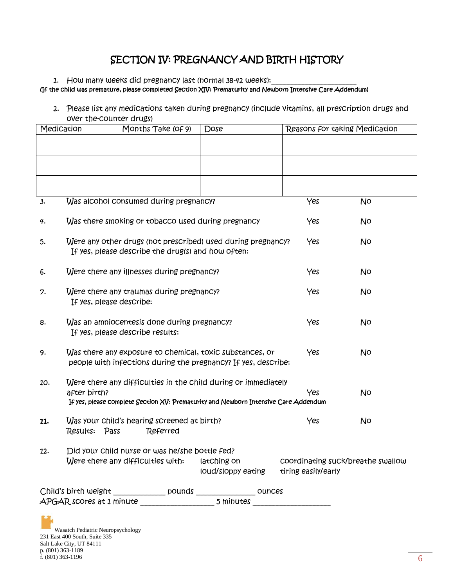# SECTION IV: PREGNANCY AND BIRTH HISTORY

1. How many weeks did pregnancy last (normal 38-42 weeks):

#### (If the child was premature, please completed Section XIV: Prematurity and Newborn Intensive Care Addendum)

2. Please list any medications taken during pregnancy (include vitamins, all prescription drugs and over the-counter drugs)

| Medication |                          | Months Take (of 9)                                                                                                                                    | Dose                              | Reasons for taking Medication                            |    |
|------------|--------------------------|-------------------------------------------------------------------------------------------------------------------------------------------------------|-----------------------------------|----------------------------------------------------------|----|
|            |                          |                                                                                                                                                       |                                   |                                                          |    |
|            |                          |                                                                                                                                                       |                                   |                                                          |    |
|            |                          |                                                                                                                                                       |                                   |                                                          |    |
|            |                          |                                                                                                                                                       |                                   |                                                          |    |
| 3.         |                          | Was alcohol consumed during pregnancy?                                                                                                                |                                   | Yes                                                      | No |
| 4.         |                          | Was there smoking or tobacco used during pregnancy                                                                                                    |                                   | Yes                                                      | No |
| 5.         |                          | Were any other drugs (not prescribed) used during pregnancy?<br>If yes, please describe the drug(s) and how often:                                    |                                   | Yes                                                      | No |
| 6.         |                          | Were there any illnesses during pregnancy?                                                                                                            |                                   | Yes                                                      | No |
| 7.         | If yes, please describe: | Were there any traumas during pregnancy?                                                                                                              |                                   | Yes                                                      | No |
| 8.         |                          | Was an amniocentesis done during pregnancy?<br>If yes, please describe results:                                                                       |                                   | Yes                                                      | No |
| 9.         |                          | Was there any exposure to chemical, toxic substances, or<br>people with infections during the pregnancy? If yes, describe:                            |                                   | Yes                                                      | No |
| 10.        | after birth?             | Were there any difficulties in the child during or immediately<br>If yes, please complete Section XV: Prematurity and Newborn Intensive Care Addendum |                                   | Yes                                                      | No |
| 11.        | Results:<br>Pass         | Was your child's hearing screened at birth?<br>Referred                                                                                               |                                   | Yes                                                      | No |
| 12.        |                          | Did your child nurse or was he/she bottle fed?<br>Were there any difficulties with:                                                                   | latChing on<br>loud/sloppy eating | coordinating suck/breathe swallow<br>tiring easily/early |    |
|            |                          |                                                                                                                                                       |                                   |                                                          |    |
|            |                          |                                                                                                                                                       |                                   |                                                          |    |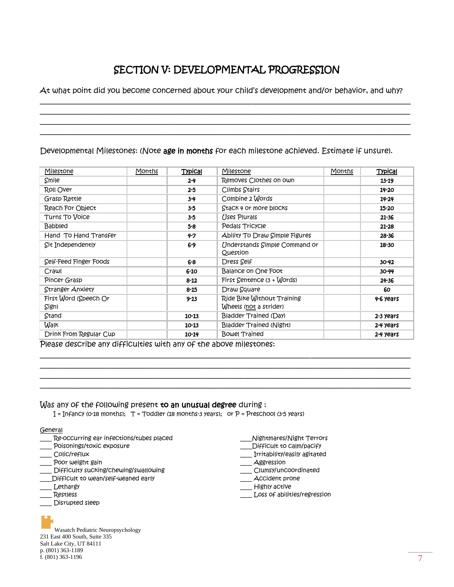# SECTION V: DEVELOPMENTAL PROGRESSION

At what point did you become concerned about your child's development and/or behavior, and why? \_\_\_\_\_\_\_\_\_\_\_\_\_\_\_\_\_\_\_\_\_\_\_\_\_\_\_\_\_\_\_\_\_\_\_\_\_\_\_\_\_\_\_\_\_\_\_\_\_\_\_\_\_\_\_\_\_\_\_\_\_\_\_\_\_\_\_\_\_\_\_\_\_\_\_\_\_\_\_\_\_\_\_\_\_\_\_\_\_\_\_\_\_\_\_\_\_\_\_\_

\_\_\_\_\_\_\_\_\_\_\_\_\_\_\_\_\_\_\_\_\_\_\_\_\_\_\_\_\_\_\_\_\_\_\_\_\_\_\_\_\_\_\_\_\_\_\_\_\_\_\_\_\_\_\_\_\_\_\_\_\_\_\_\_\_\_\_\_\_\_\_\_\_\_\_\_\_\_\_\_\_\_\_\_\_\_\_\_\_\_\_\_\_\_\_\_\_\_\_\_ \_\_\_\_\_\_\_\_\_\_\_\_\_\_\_\_\_\_\_\_\_\_\_\_\_\_\_\_\_\_\_\_\_\_\_\_\_\_\_\_\_\_\_\_\_\_\_\_\_\_\_\_\_\_\_\_\_\_\_\_\_\_\_\_\_\_\_\_\_\_\_\_\_\_\_\_\_\_\_\_\_\_\_\_\_\_\_\_\_\_\_\_\_\_\_\_\_\_\_\_ \_\_\_\_\_\_\_\_\_\_\_\_\_\_\_\_\_\_\_\_\_\_\_\_\_\_\_\_\_\_\_\_\_\_\_\_\_\_\_\_\_\_\_\_\_\_\_\_\_\_\_\_\_\_\_\_\_\_\_\_\_\_\_\_\_\_\_\_\_\_\_\_\_\_\_\_\_\_\_\_\_\_\_\_\_\_\_\_\_\_\_\_\_\_\_\_\_\_\_\_

Developmental Milestones: (Note age in months for each milestone achieved. Estimate if unsure).

| Milestone              | Months | Typical   | Milestone                                 | Months | Typical   |
|------------------------|--------|-----------|-------------------------------------------|--------|-----------|
| Smile                  |        | $2 - 4$   | Removes Clothes on own                    |        | $13 - 19$ |
| ROII Over              |        | 25        | Climbs Stairs                             |        | 14-20     |
| Grasp Rattle           |        | $3 - 4$   | Combine 2 Words                           |        | $14 - 24$ |
| Reach For Object       |        | $3-5$     | Stack 4 or more blocks                    |        | 15-20     |
| Turns To Voice         |        | $3-5$     | Uses Plurals                              |        | 21-36     |
| <b>Babbled</b>         |        | $5 - 8$   | Pedals Tricycle                           |        | $21 - 28$ |
| Hand To Hand Transfer  |        | $4 - 7$   | Ability To Draw Simple Figures            |        | $28 - 36$ |
| Sit Independently      |        | $6-9$     | Understands Simple Command or             |        | 18-30     |
|                        |        |           | Question                                  |        |           |
| Self-Feed Finger Foods |        | 6-8       | Dress Self                                |        | $30 - 42$ |
| Crawl                  |        | 6-10      | Balance on One Foot                       |        | 30-44     |
| Pincer Grasp           |        | $8 - 12$  | First $\zeta$ entence $(3 + \zeta)$ ords) |        | $24 - 36$ |
| Stranger Anxiety       |        | $8 - 15$  | Draw Square                               |        | 60        |
| First Word (Speech Or  |        | $9 - 13$  | Ride Bike Without Training                |        | 4-6 years |
| Sign)                  |        |           | Wheels (not a strider)                    |        |           |
| Stand                  |        | 10-13     | Bladder Trained (Day)                     |        | 2-3 years |
| Walk                   |        | $10 - 13$ | Bladder Trained (Night)                   |        | 2-4 years |
| Drink From Regular Cup |        | $10 - 14$ | Bowel Trained                             |        | 2-4 years |

\_\_\_\_\_\_\_\_\_\_\_\_\_\_\_\_\_\_\_\_\_\_\_\_\_\_\_\_\_\_\_\_\_\_\_\_\_\_\_\_\_\_\_\_\_\_\_\_\_\_\_\_\_\_\_\_\_\_\_\_\_\_\_\_\_\_\_\_\_\_\_\_\_\_\_\_\_\_\_\_\_\_\_\_\_\_\_\_\_\_\_\_\_\_\_\_\_\_\_\_ \_\_\_\_\_\_\_\_\_\_\_\_\_\_\_\_\_\_\_\_\_\_\_\_\_\_\_\_\_\_\_\_\_\_\_\_\_\_\_\_\_\_\_\_\_\_\_\_\_\_\_\_\_\_\_\_\_\_\_\_\_\_\_\_\_\_\_\_\_\_\_\_\_\_\_\_\_\_\_\_\_\_\_\_\_\_\_\_\_\_\_\_\_\_\_\_\_\_\_\_ \_\_\_\_\_\_\_\_\_\_\_\_\_\_\_\_\_\_\_\_\_\_\_\_\_\_\_\_\_\_\_\_\_\_\_\_\_\_\_\_\_\_\_\_\_\_\_\_\_\_\_\_\_\_\_\_\_\_\_\_\_\_\_\_\_\_\_\_\_\_\_\_\_\_\_\_\_\_\_\_\_\_\_\_\_\_\_\_\_\_\_\_\_\_\_\_\_\_\_\_ \_\_\_\_\_\_\_\_\_\_\_\_\_\_\_\_\_\_\_\_\_\_\_\_\_\_\_\_\_\_\_\_\_\_\_\_\_\_\_\_\_\_\_\_\_\_\_\_\_\_\_\_\_\_\_\_\_\_\_\_\_\_\_\_\_\_\_\_\_\_\_\_\_\_\_\_\_\_\_\_\_\_\_\_\_\_\_\_\_\_\_\_\_\_\_\_\_\_\_\_

Please describe any difficulties with any of the above milestones:

#### Was any of the following present to an unusual degree during :

 $I = Infancy$  (0-18 months);  $T = Toddler$  (18 months-3 years); or  $P = Preschool$  (3-5 years)

#### General

- Re-occurring ear infections/tubes placed
- \_\_\_\_ Poisonings/toxic exposure
- \_\_\_\_ Colic/reflux
- \_\_\_\_ Poor weight gain
- Difficulty sucking/chewing/swallowing
- \_\_\_\_Difficult to wean/self-weaned early
- \_\_\_\_ Lethargy
- \_\_\_\_ Restless
- Disrupted sleep

Wasatch Pediatric Neuropsychology 231 East 400 South, Suite 335 Salt Lake City, UT 84111 p. (801) 363-1189 f. (801) 363-1196  $\frac{7}{3}$ 

\_\_\_\_Nightmares/Night Terrors

- \_\_\_\_Difficult to calm/pacify
- \_\_\_\_ Irritability/easily agitated
- \_\_\_ Aggression
- \_\_\_\_ Clumsy/uncoordinated
- \_\_\_\_ Accident prone
- \_\_\_\_ Highly active
- \_\_\_\_ Loss of abilities/regression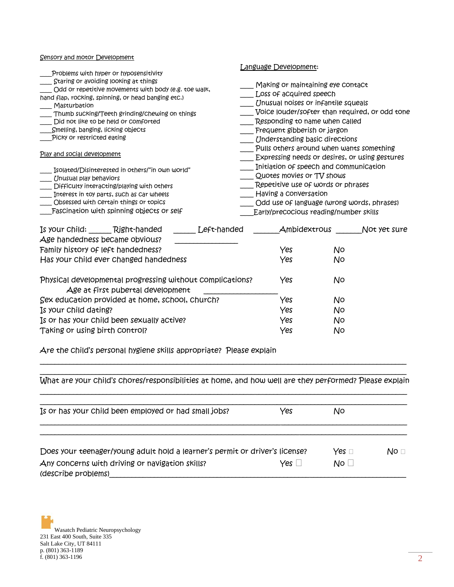#### Sensory and motor Development

|                                                    |                                                                                                                                                                                                                                                                                           |             | anguage Development:                                                                                                                                                                                                       |              |  |  |  |
|----------------------------------------------------|-------------------------------------------------------------------------------------------------------------------------------------------------------------------------------------------------------------------------------------------------------------------------------------------|-------------|----------------------------------------------------------------------------------------------------------------------------------------------------------------------------------------------------------------------------|--------------|--|--|--|
| Masturbation<br>Smelling, banging, licking objects | Problems with hyper or hyposensitivity<br>Staring or avoiding looking at things<br>Odd or repetitive movements with body (e.g. toe walk,<br>hand flap, rocking, spinning, or head banging etc.)<br>Thumb sucking/Teeth grinding/chewing on things<br>Did not like to be held or comforted |             | Making or maintaining eye contact<br>Loss of acquired speech<br>Unusual noises or infantile squeals<br>Voice louder/softer than required, or odd tone<br>Responding to name when Called<br>Frequent gibberish or jargon    |              |  |  |  |
| Picky or restricted eating                         |                                                                                                                                                                                                                                                                                           |             | <i><b>Inderstanding basic directions</b></i>                                                                                                                                                                               |              |  |  |  |
| Play and social development                        |                                                                                                                                                                                                                                                                                           |             | Pulls others around when wants something<br>Expressing needs or desires, or using gestures                                                                                                                                 |              |  |  |  |
| Unusual play behaviors                             | [solated/Disinterested in others/"in own world"<br>Difficulty interacting/playing with others<br>Interest in toy parts, such as Car wheels<br>Obsessed with certain things or topics<br>Fascination with spinning objects or self                                                         |             | Initiation of speech and communication<br>Quotes movies or TV shows<br>Repetitive use of words or phrases<br>Having a conversation<br>Odd use of language (wrong words, phrases)<br>Early/precocious reading/number skills |              |  |  |  |
|                                                    | Is your child: Right-handed<br>يمنيه فالداهر هبينه ومصالحهم ويلحظه ويباريهم المصا                                                                                                                                                                                                         | Left-handed | Ambidextrous                                                                                                                                                                                                               | Not yet sure |  |  |  |

| Age handedness became obvious?                                                                 |     |    |  |
|------------------------------------------------------------------------------------------------|-----|----|--|
| Family history of left handedness?                                                             | Yes | No |  |
| Has your child ever changed handedness                                                         | Yes | N٥ |  |
| Physical developmental progressing without complications?<br>Age at first pubertal development | Yes | N٥ |  |
| Sex education provided at home, school, church?                                                | Yes | N٥ |  |
| Is your Child dating?                                                                          | Yes | No |  |
| Is or has your child been sexually active?                                                     | Yes | No |  |
| Taking or using birth control?                                                                 | Yes | No |  |

Are the child's personal hygiene skills appropriate? Please explain

 $\_$  ,  $\_$  ,  $\_$  ,  $\_$  ,  $\_$  ,  $\_$  ,  $\_$  ,  $\_$  ,  $\_$  ,  $\_$  ,  $\_$  ,  $\_$  ,  $\_$  ,  $\_$  ,  $\_$  ,  $\_$  ,  $\_$  ,  $\_$  ,  $\_$  ,  $\_$  ,  $\_$  ,  $\_$  ,  $\_$  ,  $\_$  ,  $\_$  ,  $\_$  ,  $\_$  ,  $\_$  ,  $\_$  ,  $\_$  ,  $\_$  ,  $\_$  ,  $\_$  ,  $\_$  ,  $\_$  ,  $\_$  ,  $\_$  , What are your child's chores/responsibilities at home, and how well are they performed? Please explain \_\_\_\_\_\_\_\_\_\_\_\_\_\_\_\_\_\_\_\_\_\_\_\_\_\_\_\_\_\_\_\_\_\_\_\_\_\_\_\_\_\_\_\_\_\_\_\_\_\_\_\_\_\_\_\_\_\_\_\_\_\_\_\_\_\_\_\_\_\_\_\_\_\_\_\_\_\_\_\_\_\_\_\_\_\_\_\_\_\_\_\_\_\_\_\_\_\_\_

\_\_\_\_\_\_\_\_\_\_\_\_\_\_\_\_\_\_\_\_\_\_\_\_\_\_\_\_\_\_\_\_\_\_\_\_\_\_\_\_\_\_\_\_\_\_\_\_\_\_\_\_\_\_\_\_\_\_\_\_\_\_\_\_\_\_\_\_\_\_\_\_\_\_\_\_\_\_\_\_\_\_\_\_\_\_\_\_\_\_\_\_\_\_\_\_\_\_\_

| Yes                                                                                       | No.                             |      |
|-------------------------------------------------------------------------------------------|---------------------------------|------|
| Does your teenager/young adult hold a learner's permit or driver's license?<br>$Yes \Box$ | Yes $\sqcap$<br>No <sub>1</sub> | No ⊡ |
|                                                                                           |                                 |      |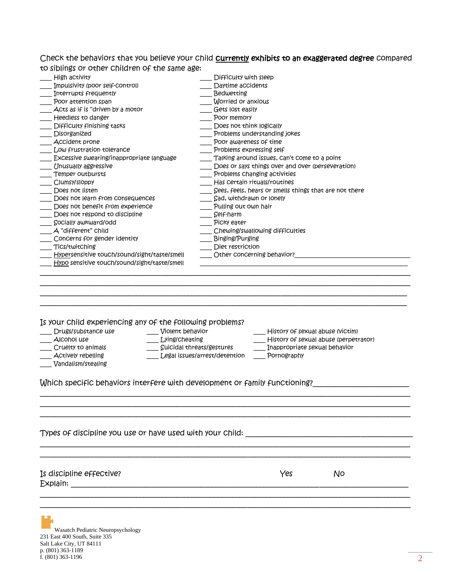Check the behaviors that you believe your child **currently exhibits to an exaggerated degree** compared to siblings or other children of the same age:

| Is your child experiencing any of the following problems?<br>Drugs/substance use<br>Violent behavior<br>Lying/cheating<br>AICONOI USE<br>Cruelty to animals<br><b>Actively rebelling</b><br>Vandalism/stealing<br>Which specific behaviors interfere with development or family functioning? | History of sexual abuse (Victim)<br>History of sexual abuse (perpetrator)<br>Suicidal threats/gestures<br>Inappropriate sexual behavior<br>Legal issues/arrest/detention<br>Pornography |  |  |  |
|----------------------------------------------------------------------------------------------------------------------------------------------------------------------------------------------------------------------------------------------------------------------------------------------|-----------------------------------------------------------------------------------------------------------------------------------------------------------------------------------------|--|--|--|
|                                                                                                                                                                                                                                                                                              |                                                                                                                                                                                         |  |  |  |
|                                                                                                                                                                                                                                                                                              |                                                                                                                                                                                         |  |  |  |
|                                                                                                                                                                                                                                                                                              |                                                                                                                                                                                         |  |  |  |
|                                                                                                                                                                                                                                                                                              |                                                                                                                                                                                         |  |  |  |
|                                                                                                                                                                                                                                                                                              |                                                                                                                                                                                         |  |  |  |
|                                                                                                                                                                                                                                                                                              |                                                                                                                                                                                         |  |  |  |
|                                                                                                                                                                                                                                                                                              |                                                                                                                                                                                         |  |  |  |
|                                                                                                                                                                                                                                                                                              |                                                                                                                                                                                         |  |  |  |
| Hypo sensitive touch/sound/sight/taste/smell                                                                                                                                                                                                                                                 |                                                                                                                                                                                         |  |  |  |
| Hypersensitive touch/sound/sight/taste/smell                                                                                                                                                                                                                                                 | Other concerning behavior?                                                                                                                                                              |  |  |  |
| Tics/twitching                                                                                                                                                                                                                                                                               | Diet restriction                                                                                                                                                                        |  |  |  |
| Concerns for gender identity                                                                                                                                                                                                                                                                 | <b>Binging/Purging</b>                                                                                                                                                                  |  |  |  |
| A "different" Child                                                                                                                                                                                                                                                                          | Chewing/swallowing difficulties                                                                                                                                                         |  |  |  |
| Socially awkward/odd                                                                                                                                                                                                                                                                         | Picky eater                                                                                                                                                                             |  |  |  |
| Does not respond to discipline                                                                                                                                                                                                                                                               | Self-harm                                                                                                                                                                               |  |  |  |
| Does not benefit from experience                                                                                                                                                                                                                                                             | Pulling out own hair                                                                                                                                                                    |  |  |  |
| Does not listen<br>Does not learn from consequences                                                                                                                                                                                                                                          | Sees, feels, hears or smells things that are not there<br>Sad, withdrawn or lonely                                                                                                      |  |  |  |
| Clumsy/sloppy                                                                                                                                                                                                                                                                                | Has certain rituals/routines                                                                                                                                                            |  |  |  |
| Temper outbursts                                                                                                                                                                                                                                                                             | Problems Changing activities                                                                                                                                                            |  |  |  |
| Unusually aggressive                                                                                                                                                                                                                                                                         | Does or says things over and over (perseveration)                                                                                                                                       |  |  |  |
| Excessive swearing/inappropriate language                                                                                                                                                                                                                                                    | Talking around issues, Can't Come to a point                                                                                                                                            |  |  |  |
| Low frustration tolerance                                                                                                                                                                                                                                                                    | Problems expressing self                                                                                                                                                                |  |  |  |
| Accident prone                                                                                                                                                                                                                                                                               | Poor awareness of time                                                                                                                                                                  |  |  |  |
| Disorganized                                                                                                                                                                                                                                                                                 | Problems understanding jokes                                                                                                                                                            |  |  |  |
| Difficulty finishing tasks                                                                                                                                                                                                                                                                   | Does not think logically                                                                                                                                                                |  |  |  |
| Heedless to danger                                                                                                                                                                                                                                                                           | Poor memory                                                                                                                                                                             |  |  |  |
| Acts as if is "driven by a motor                                                                                                                                                                                                                                                             | Gets lost easily                                                                                                                                                                        |  |  |  |
| Poor attention span                                                                                                                                                                                                                                                                          | Worried or anxious                                                                                                                                                                      |  |  |  |
|                                                                                                                                                                                                                                                                                              | <b>Bedwetting</b>                                                                                                                                                                       |  |  |  |
| Interrupts frequently                                                                                                                                                                                                                                                                        | Difficulty with sleep<br>Daytime accidents                                                                                                                                              |  |  |  |

Wasatch Pediatric Neuropsychology 231 East 400 South, Suite 335 Salt Lake City, UT 84111 p. (801) 363-1189<br>f. (801) 363-1196 f. (801) 363-1196  $\overline{2}$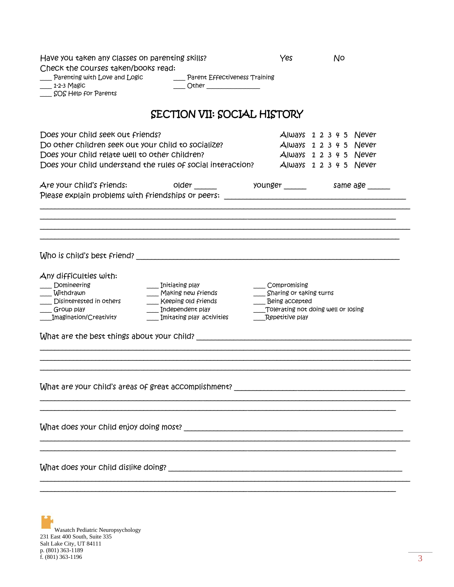| Have you taken any classes on parenting skills?<br>Check the courses taken/books read:<br>Parenting with Love and Logic<br>Parent Effectiveness Training<br>_ 1-2-3 Magic<br>Other $\qquad$<br>SOS Help for Parents                                                                                                        | Yes                                                                          | No                                                                                                                                                                   |
|----------------------------------------------------------------------------------------------------------------------------------------------------------------------------------------------------------------------------------------------------------------------------------------------------------------------------|------------------------------------------------------------------------------|----------------------------------------------------------------------------------------------------------------------------------------------------------------------|
| SECTION VII: SOCIAL HISTORY                                                                                                                                                                                                                                                                                                |                                                                              |                                                                                                                                                                      |
| Does your child seek out friends?<br>Do other children seek out your child to socialize?<br>Does your child relate well to other children?<br>Does your child understand the rules of social interaction?<br>Are your child's friends:<br>Please explain problems with friendships or peers: _____________________________ |                                                                              | $Always$ 1 2 3 4 5 Never<br>$Always$ 1 2 3 4 5 Never<br>$Always$ 1 2 3 4 5 Never<br>$Always$ 1 2 3 4 5 Never<br>older _______      younger ______     same age _____ |
|                                                                                                                                                                                                                                                                                                                            |                                                                              |                                                                                                                                                                      |
| Any difficulties with:<br>Domineering<br>Initiating play<br>Withdrawn<br>Making new friends<br>Disinterested in others<br>Keeping old friends<br>$\blacksquare$ Independent play<br>Group play<br>Imagination/Creativity<br>Imitating play activities                                                                      | Compromising<br>Sharing or taking turns<br>Being accepted<br>Repetitive play | Tolerating not doing well or losing                                                                                                                                  |
| What are your child's areas of great accomplishment?                                                                                                                                                                                                                                                                       |                                                                              |                                                                                                                                                                      |
|                                                                                                                                                                                                                                                                                                                            |                                                                              |                                                                                                                                                                      |
|                                                                                                                                                                                                                                                                                                                            |                                                                              |                                                                                                                                                                      |
|                                                                                                                                                                                                                                                                                                                            |                                                                              |                                                                                                                                                                      |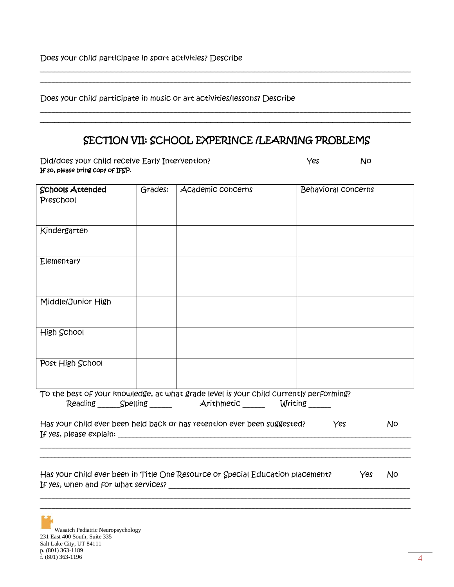Does your child participate in sport activities? Describe

Does your child participate in music or art activities/lessons? Describe

## SECTION VII: SCHOOL EXPERINCE /LEARNING PROBLEMS

\_\_\_\_\_\_\_\_\_\_\_\_\_\_\_\_\_\_\_\_\_\_\_\_\_\_\_\_\_\_\_\_\_\_\_\_\_\_\_\_\_\_\_\_\_\_\_\_\_\_\_\_\_\_\_\_\_\_\_\_\_\_\_\_\_\_\_\_\_\_\_\_\_\_\_\_\_\_\_\_\_\_\_\_\_\_\_\_\_\_\_\_\_\_\_\_\_\_\_\_ \_\_\_\_\_\_\_\_\_\_\_\_\_\_\_\_\_\_\_\_\_\_\_\_\_\_\_\_\_\_\_\_\_\_\_\_\_\_\_\_\_\_\_\_\_\_\_\_\_\_\_\_\_\_\_\_\_\_\_\_\_\_\_\_\_\_\_\_\_\_\_\_\_\_\_\_\_\_\_\_\_\_\_\_\_\_\_\_\_\_\_\_\_\_\_\_\_\_\_\_

\_\_\_\_\_\_\_\_\_\_\_\_\_\_\_\_\_\_\_\_\_\_\_\_\_\_\_\_\_\_\_\_\_\_\_\_\_\_\_\_\_\_\_\_\_\_\_\_\_\_\_\_\_\_\_\_\_\_\_\_\_\_\_\_\_\_\_\_\_\_\_\_\_\_\_\_\_\_\_\_\_\_\_\_\_\_\_\_\_\_\_\_\_\_\_\_\_\_\_\_ \_\_\_\_\_\_\_\_\_\_\_\_\_\_\_\_\_\_\_\_\_\_\_\_\_\_\_\_\_\_\_\_\_\_\_\_\_\_\_\_\_\_\_\_\_\_\_\_\_\_\_\_\_\_\_\_\_\_\_\_\_\_\_\_\_\_\_\_\_\_\_\_\_\_\_\_\_\_\_\_\_\_\_\_\_\_\_\_\_\_\_\_\_\_\_\_\_\_\_\_

Did/does your child receive Early Intervention? The Ves Mo If so, please bring copy of IFSP.

| <b>Schools Attended</b>             | Grades: | Academic concerns                                                                      | <b>Behavioral concerns</b> |    |
|-------------------------------------|---------|----------------------------------------------------------------------------------------|----------------------------|----|
| Preschool                           |         |                                                                                        |                            |    |
|                                     |         |                                                                                        |                            |    |
| Kindergarten                        |         |                                                                                        |                            |    |
|                                     |         |                                                                                        |                            |    |
| Elementary                          |         |                                                                                        |                            |    |
|                                     |         |                                                                                        |                            |    |
|                                     |         |                                                                                        |                            |    |
| Middle/Junior High                  |         |                                                                                        |                            |    |
|                                     |         |                                                                                        |                            |    |
| High School                         |         |                                                                                        |                            |    |
|                                     |         |                                                                                        |                            |    |
| Post High School                    |         |                                                                                        |                            |    |
|                                     |         |                                                                                        |                            |    |
|                                     |         | To the best of your knowledge, at what grade level is your child currently performing? |                            |    |
|                                     |         | Reading Spelling Arithmetic Writing                                                    |                            |    |
|                                     |         | Has your child ever been held back or has retention ever been suggested?               | Yes                        | No |
|                                     |         |                                                                                        |                            |    |
|                                     |         |                                                                                        |                            |    |
|                                     |         | Has your child ever been in Title One Resource or Special Education placement?         | Yes                        | No |
| If yes, when and for what services? |         |                                                                                        |                            |    |

\_\_\_\_\_\_\_\_\_\_\_\_\_\_\_\_\_\_\_\_\_\_\_\_\_\_\_\_\_\_\_\_\_\_\_\_\_\_\_\_\_\_\_\_\_\_\_\_\_\_\_\_\_\_\_\_\_\_\_\_\_\_\_\_\_\_\_\_\_\_\_\_\_\_\_\_\_\_\_\_\_\_\_\_\_\_\_\_\_\_\_\_\_\_\_\_\_\_\_\_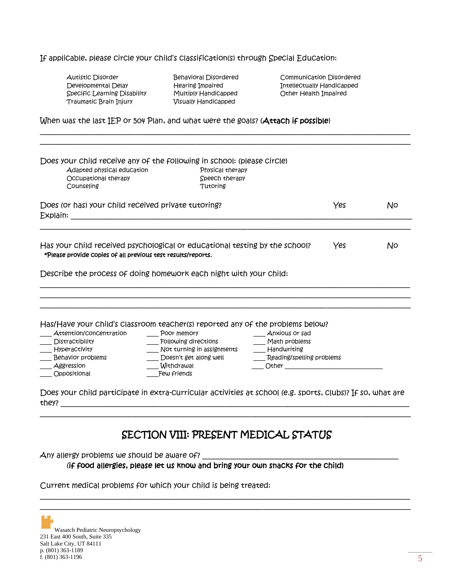#### If applicable, please circle your child's classification(s) through Special Education:

| Autistic Disorder            |
|------------------------------|
| Developmental Delay          |
| Specific Learning Disability |
| Traumatic Brain Injury       |

Visually Handicapped

\_\_\_\_\_\_\_\_\_\_\_\_\_\_\_\_\_\_\_\_\_\_\_\_\_\_\_\_\_\_\_\_\_\_\_\_\_\_\_\_\_\_\_\_\_\_\_\_\_\_\_\_\_\_\_\_\_\_\_\_\_\_\_\_\_\_\_\_\_\_\_\_\_\_\_\_\_\_\_\_\_\_\_\_\_\_\_\_\_\_\_\_\_\_\_\_\_\_\_\_

Behavioral Disordered Communication Disordered Hearing Impaired **Intellectually Handicapped** Multiply Handicapped **Other Health Impaired** 

#### When was the last IEP or 504 Plan, and what were the goals? (Attach if possible)

| Does your child receive any of the following in school: (please circle)<br>Adapted physical education<br>Occupational therapy<br>Counseling | Physical therapy<br>Speech therapy<br>Tutoring                                 |                                                                                                                                             |     |    |
|---------------------------------------------------------------------------------------------------------------------------------------------|--------------------------------------------------------------------------------|---------------------------------------------------------------------------------------------------------------------------------------------|-----|----|
| Does (or has) your child received private tutoring?                                                                                         |                                                                                |                                                                                                                                             | Yes | N٥ |
|                                                                                                                                             |                                                                                |                                                                                                                                             | Yes | No |
| Has your child received psychological or educational testing by the school?<br>*Please provide copies of all previous test results/reports. |                                                                                |                                                                                                                                             |     |    |
|                                                                                                                                             | Describe the process of doing homework each night with your child:             |                                                                                                                                             |     |    |
|                                                                                                                                             |                                                                                |                                                                                                                                             |     |    |
|                                                                                                                                             | Has/Have your child's classroom teacher(s) reported any of the problems below? |                                                                                                                                             |     |    |
| Attention/concentration                                                                                                                     | Poor memory                                                                    | Anxious or sad                                                                                                                              |     |    |
| Distractibility                                                                                                                             | Following directions                                                           | Math problems                                                                                                                               |     |    |
| <b>HyperaCtivity</b>                                                                                                                        | Not turning in assignments                                                     | Handwriting                                                                                                                                 |     |    |
| Behavior problems<br>Aggression                                                                                                             | Doesn't get along well<br>Withdrawal                                           | Reading/spelling problems<br>Other than the contract of the contract of the contract of the contract of the contract of the contract of the |     |    |

### SECTION VIII: PRESENT MEDICAL STATUS

\_\_\_\_\_\_\_\_\_\_\_\_\_\_\_\_\_\_\_\_\_\_\_\_\_\_\_\_\_\_\_\_\_\_\_\_\_\_\_\_\_\_\_\_\_\_\_\_\_\_\_\_\_\_\_\_\_\_\_\_\_\_\_\_\_\_\_\_\_\_\_\_\_\_\_\_\_\_\_\_\_\_\_\_\_\_\_\_\_\_\_\_\_\_\_\_\_\_\_\_ \_\_\_\_\_\_\_\_\_\_\_\_\_\_\_\_\_\_\_\_\_\_\_\_\_\_\_\_\_\_\_\_\_\_\_\_\_\_\_\_\_\_\_\_\_\_\_\_\_\_\_\_\_\_\_\_\_\_\_\_\_\_\_\_\_\_\_\_\_\_\_\_\_\_\_\_\_\_\_\_\_\_\_\_\_\_\_\_\_\_\_\_\_\_\_\_\_\_\_\_

\_\_\_\_\_\_\_\_\_\_\_\_\_\_\_\_\_\_\_\_\_\_\_\_\_\_\_\_\_\_\_\_\_\_\_\_\_\_\_\_\_\_\_\_\_\_\_\_\_\_\_\_\_\_\_\_\_\_\_\_\_\_\_\_\_\_\_\_\_\_\_\_\_\_\_\_\_\_\_\_\_\_\_\_\_\_\_\_\_\_\_\_\_\_\_\_\_\_\_\_

Any allergy problems we should be aware of?

(if food allergies, please let us know and bring your own snacks for the child)

Current medical problems for which your child is being treated: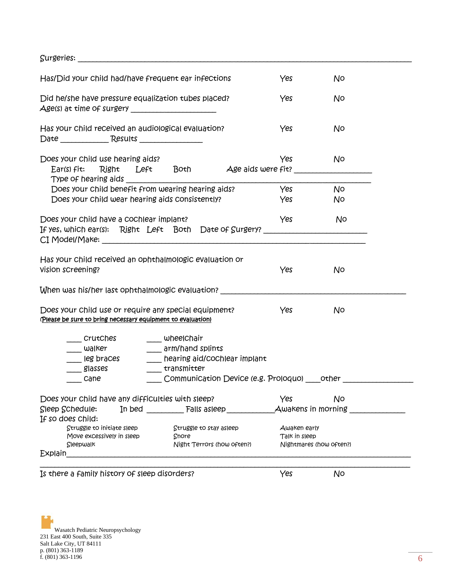$\small \textbf{Surgeries:}\textcolor{red}{\overbrace{\textbf{S}^\text{urgeries:}\textcolor{blue}{\overbrace{\textbf{S}^\text{urgeries:}\textcolor{blue}{\overbrace{\textbf{S}^\text{urgeries:}\textcolor{blue}{\overbrace{\textbf{S}^\text{urgeries:}\textcolor{blue}{\overbrace{\textbf{S}^\text{urgeries:}\textcolor{blue}{\overbrace{\textbf{S}^\text{urgeries:}\textcolor{blue}{\overbrace{\textbf{S}^\text{urgeries:}\textcolor{blue}{\overbrace{\textbf{S}^\text{urgeries:}\textcolor{blue}{\overbrace{\textbf{S}^\text{urgeries:}\textcolor{blue}{\overbrace{\textbf$ 

| Has/Did your child had/have frequent ear infections                                                                          |                                              | Yes           | No                      |  |
|------------------------------------------------------------------------------------------------------------------------------|----------------------------------------------|---------------|-------------------------|--|
| Did he/she have pressure equalization tubes placed?                                                                          |                                              | Yes           | No                      |  |
| Has your child received an audiological evaluation?<br>Date Results Results                                                  |                                              | Yes           | No                      |  |
| Does your child use hearing aids?<br>Ear(s) fit: Right Left Both Age aids were fit?                                          |                                              | Yes           | No                      |  |
| Does your child benefit from wearing hearing aids?                                                                           |                                              | Yes           | No                      |  |
| Does your child wear hearing aids consistently?                                                                              |                                              | Yes           | No                      |  |
| Does your child have a cochlear implant?<br>If yes, which ear(s): Right Left Both Date of Surgery? _________________________ |                                              | Yes           | No.                     |  |
|                                                                                                                              |                                              |               |                         |  |
| Has your child received an ophthalmologic evaluation or<br>Vision screening?                                                 |                                              | Yes           | No.                     |  |
| When was his/her last ophthalmologic evaluation? _______________________________                                             |                                              |               |                         |  |
| Does your child use or require any special equipment?<br>(Please be sure to bring necessary equipment to evaluation)         |                                              | Yes           | No                      |  |
| CrutChes                                                                                                                     | whee Chair                                   |               |                         |  |
| $\frac{1}{2}$ walker                                                                                                         | __ arm/hand splints                          |               |                         |  |
| $\frac{1}{2}$ leg braces                                                                                                     | ___ hearing aid/cochlear implant             |               |                         |  |
| glasses                                                                                                                      | ____ transmitter                             |               |                         |  |
| cane                                                                                                                         | Communication Device (e.g. Proloquo) other   |               |                         |  |
| Does your child have any difficulties with sleep?                                                                            |                                              | Yes           | No.                     |  |
| Sleep Schedule:                                                                                                              | In bed $F$ alls asleep $A$ wakens in morning |               |                         |  |
| If so does child:                                                                                                            |                                              |               |                         |  |
| Struggle to initiate sleep                                                                                                   | Struggle to stay asleep                      | Awaken early  |                         |  |
| Move excessively in sleep<br>Sleepwalk                                                                                       | Snore<br>Night Terrors (how often?)          | Talk in sleep | Nightmares (how often?) |  |
| Explain                                                                                                                      |                                              |               |                         |  |
|                                                                                                                              |                                              |               |                         |  |
| Is there a family history of sleep disorders?                                                                                |                                              | Yes           | No                      |  |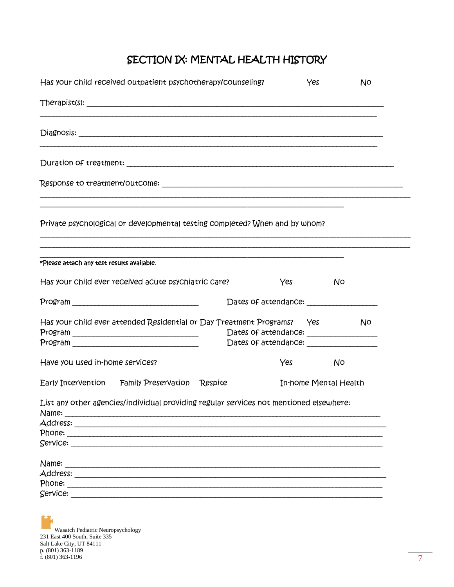# SECTION IX: MENTAL HEALTH HISTORY

| Has your child received outpatient psychotherapy/counseling?                                                                                                                                                                                                                                                                                                       |                                                                                    | Yes                   | No   |
|--------------------------------------------------------------------------------------------------------------------------------------------------------------------------------------------------------------------------------------------------------------------------------------------------------------------------------------------------------------------|------------------------------------------------------------------------------------|-----------------------|------|
|                                                                                                                                                                                                                                                                                                                                                                    |                                                                                    |                       |      |
|                                                                                                                                                                                                                                                                                                                                                                    |                                                                                    |                       |      |
|                                                                                                                                                                                                                                                                                                                                                                    |                                                                                    |                       |      |
|                                                                                                                                                                                                                                                                                                                                                                    |                                                                                    |                       |      |
| Private psychological or developmental testing completed? When and by whom?                                                                                                                                                                                                                                                                                        |                                                                                    |                       |      |
| *Please attach any test results available.                                                                                                                                                                                                                                                                                                                         |                                                                                    |                       |      |
| Has your child ever received acute psychiatric care?                                                                                                                                                                                                                                                                                                               | Yes                                                                                | No                    |      |
|                                                                                                                                                                                                                                                                                                                                                                    |                                                                                    |                       |      |
| Has your child ever attended Residential or Day Treatment Programs?     Yes                                                                                                                                                                                                                                                                                        | Dates of attendance: __________________<br>Dates of attendance: __________________ |                       | . No |
| Have you used in-home services?                                                                                                                                                                                                                                                                                                                                    | Yes                                                                                | No                    |      |
| Early Intervention Family Preservation Respite                                                                                                                                                                                                                                                                                                                     |                                                                                    | In-home Mental Health |      |
| List any other agencies/individual providing regular services not mentioned elsewhere:<br>Name:<br>Address: ________<br>Phone: The contract of the phone of the contract of the contract of the contract of the contract of the contract of the contract of the contract of the contract of the contract of the contract of the contract of the contra<br>Service: |                                                                                    |                       |      |
| Name:<br>Address: _______<br>Phone: The control of the phone of the control of the control of the control of the control of the control of the control of the control of the control of the control of the control of the control of the control of the con<br>Service:                                                                                            |                                                                                    |                       |      |

Wasatch Pediatric Neuropsychology<br>
231 East 400 South, Suite 335<br>
Salt Lake City, UT 84111<br>
p. (801) 363-1189<br>
f. (801) 363-1196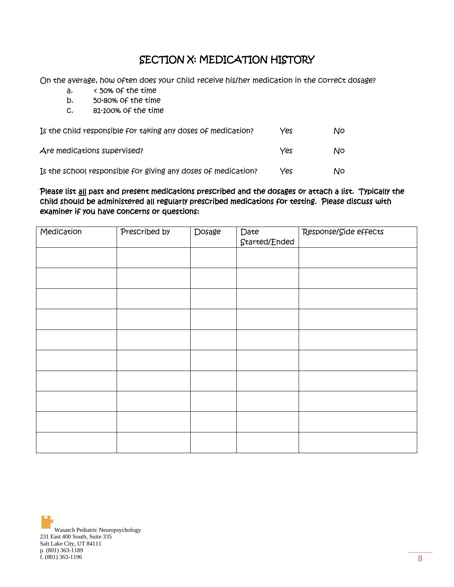### SECTION X: MEDICATION HISTORY

On the average, how often does your child receive his/her medication in the correct dosage?

- a. < 50% of the time
- b. 50-80% of the time
- c. 81-100% of the time

| Is the child responsible for taking any doses of medication?  | Yes | Νo |
|---------------------------------------------------------------|-----|----|
| Are medications supervised?                                   | Yes | Νo |
| Is the school responsible for giving any doses of medication? | Yes | Νo |

#### Please list all past and present medications prescribed and the dosages or attach a list. Typically the child should be administered all regularly prescribed medications for testing. Please discuss with examiner if you have concerns or questions:

| Medication | Prescribed by | Dosage | Date          | Response/Side effects |
|------------|---------------|--------|---------------|-----------------------|
|            |               |        | Started/Ended |                       |
|            |               |        |               |                       |
|            |               |        |               |                       |
|            |               |        |               |                       |
|            |               |        |               |                       |
|            |               |        |               |                       |
|            |               |        |               |                       |
|            |               |        |               |                       |
|            |               |        |               |                       |
|            |               |        |               |                       |
|            |               |        |               |                       |
|            |               |        |               |                       |
|            |               |        |               |                       |
|            |               |        |               |                       |
|            |               |        |               |                       |
|            |               |        |               |                       |
|            |               |        |               |                       |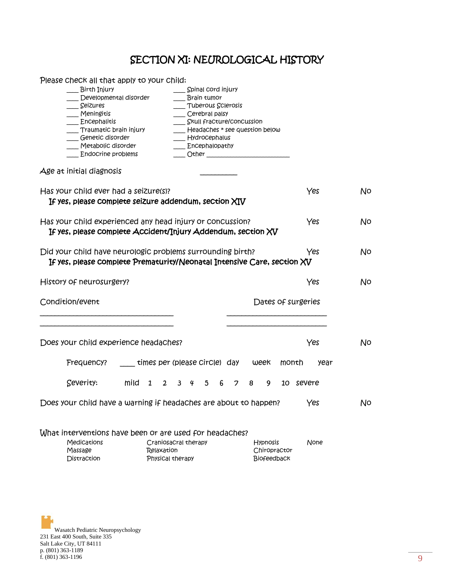# SECTION XI: NEUROLOGICAL HISTORY

| Please check all that apply to your child:                              |                        |                                    |                                    |                    |      |
|-------------------------------------------------------------------------|------------------------|------------------------------------|------------------------------------|--------------------|------|
| Birth Injury                                                            |                        | Spinal cord injury                 |                                    |                    |      |
| Developmental disorder                                                  |                        | Brain tumor                        |                                    |                    |      |
| __ Seizures                                                             |                        | Tuberous Sclerosis                 |                                    |                    |      |
| ___ Meningitis                                                          |                        | Cerebral palsy                     |                                    |                    |      |
| $\Box$ Encephalitis                                                     |                        | ____ Skull fracture/concussion     |                                    |                    |      |
| Traumatic brain injury                                                  |                        |                                    | ___ Headaches * see question below |                    |      |
| Genetic disorder                                                        |                        | Hydrocephalus                      |                                    |                    |      |
| _ Metabolic disorder                                                    |                        | _ Encephalopathy                   |                                    |                    |      |
| Endocrine problems                                                      |                        |                                    |                                    |                    |      |
| Age at initial diagnosis                                                |                        |                                    |                                    |                    |      |
| Has your child ever had a seizure(s)?                                   |                        |                                    |                                    | Yes                | No   |
| If yes, please complete seizure addendum, section $XIV$                 |                        |                                    |                                    |                    |      |
| Has your child experienced any head injury or concussion?               |                        |                                    |                                    | Yes                | No   |
| If yes, please complete Accident/Injury Addendum, section XV            |                        |                                    |                                    |                    |      |
|                                                                         |                        |                                    |                                    |                    |      |
|                                                                         |                        |                                    |                                    |                    |      |
| Did your child have neurologic problems surrounding birth?              |                        |                                    |                                    | Yes                | No   |
| If yes, please complete Prematurity/Neonatal Intensive Care, section XV |                        |                                    |                                    |                    |      |
| History of neurosurgery?                                                |                        |                                    |                                    | Yes                | No   |
|                                                                         |                        |                                    |                                    |                    |      |
| Condition/event                                                         |                        |                                    |                                    | Dates of surgeries |      |
|                                                                         |                        |                                    |                                    |                    |      |
|                                                                         |                        |                                    |                                    |                    |      |
| Does your child experience headaches?                                   |                        |                                    |                                    | Yes                | No   |
| Frequency?                                                              |                        | ____ times per (please circle) day | week                               | month              | year |
|                                                                         |                        |                                    |                                    |                    |      |
| Severity:                                                               | mild<br>$\overline{1}$ | $2 \t3 \t4$<br>5                   | 6<br>7<br>8<br>9                   | 10 severe          |      |
| Does your child have a warning if headaches are about to happen?        |                        |                                    |                                    | Yes                | No   |
|                                                                         |                        |                                    |                                    |                    |      |
| What interventions have been or are used for headaches?                 |                        |                                    |                                    |                    |      |
| Medications                                                             |                        | Craniosacral therapy               | <b>Hypnosis</b>                    | None               |      |
| Massage                                                                 | Relaxation             |                                    |                                    | Chiropractor       |      |
| Distraction                                                             |                        | Physical therapy                   |                                    | Biofeedback        |      |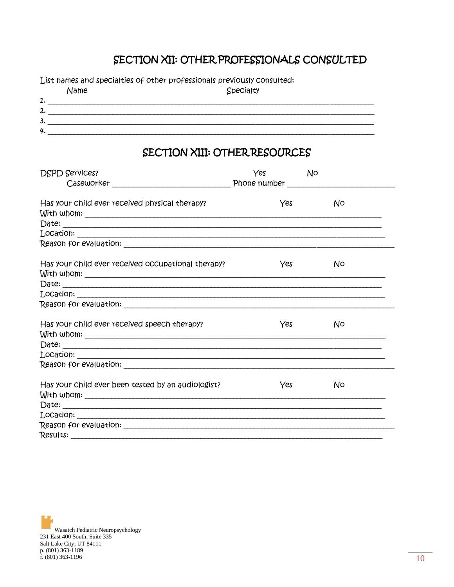# SECTION XII: OTHER PROFESSIONALS CONSULTED

List names and specialties of other professionals previously consulted:

|    | Name | Specialty |
|----|------|-----------|
| 1. |      |           |
| 2. |      |           |
| 3. |      |           |
| 4. |      |           |

### SECTION XIII: OTHER RESOURCES

| <b>DSPD Services?</b>                              | Yes | No. |
|----------------------------------------------------|-----|-----|
| Has your child ever received physical therapy?     | Yes | No. |
|                                                    |     |     |
|                                                    |     |     |
| Has your child ever received occupational therapy? | Yes | No. |
|                                                    |     |     |
|                                                    |     |     |
| Has your child ever received speech therapy?       | Yes | No. |
|                                                    |     |     |
|                                                    |     |     |
| Has your child ever been tested by an audiologist? | Yes | N0  |
|                                                    |     |     |
|                                                    |     |     |
|                                                    |     |     |
|                                                    |     |     |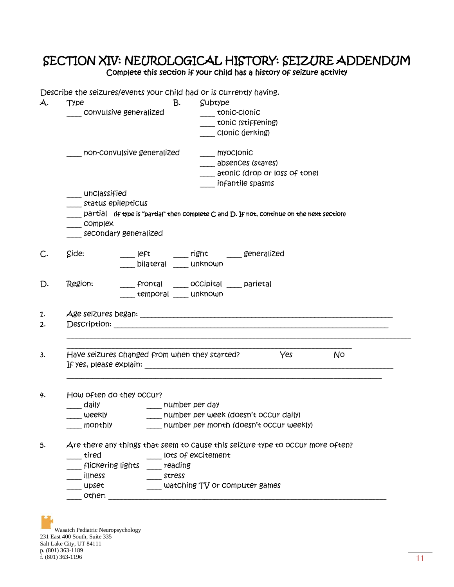### SECTION XIV: NEUROLOGICAL HISTORY: SEIZURE ADDENDUM Complete this section if your child has a history of seizure activity

 $\begin{array}{c}\n\mathbf{a} \\
\mathbf{b}\n\end{array}$ 

| Ą.                   | <b>Type</b>                                   |         | B.<br>Subtype                                                                              |
|----------------------|-----------------------------------------------|---------|--------------------------------------------------------------------------------------------|
|                      | Convulsive generalized                        |         | tonic-clonic                                                                               |
|                      |                                               |         | tonic (stiffening)                                                                         |
|                      |                                               |         | Clonic (jerking)                                                                           |
|                      | non-convulsive generalized                    |         | ___ myoclonic                                                                              |
|                      |                                               |         | absences (stares)                                                                          |
|                      |                                               |         | atonic (drop or loss of tone)                                                              |
|                      |                                               |         | infantile spasms                                                                           |
|                      | $\_\_$ un $\scriptstyle\_\_$ classified       |         |                                                                                            |
|                      | status epilepticus                            |         |                                                                                            |
|                      |                                               |         | partial (if type is "partial" then complete C and D. If not, continue on the next section) |
|                      | $\equiv$ complex                              |         |                                                                                            |
|                      | secondary generalized                         |         |                                                                                            |
| C.                   | Side:                                         |         | ____  eft         ___ right       ____ genera ized                                         |
|                      |                                               |         | bilateral unknown                                                                          |
|                      |                                               |         |                                                                                            |
|                      |                                               |         |                                                                                            |
|                      | Region:                                       |         | Frontal ______ occipital _____ parietal                                                    |
| D.                   |                                               |         | temporal _____ unknown                                                                     |
|                      |                                               |         |                                                                                            |
|                      |                                               |         |                                                                                            |
|                      |                                               |         |                                                                                            |
|                      |                                               |         |                                                                                            |
|                      |                                               |         |                                                                                            |
|                      | Have seizures changed from when they started? |         | Yes<br>No                                                                                  |
|                      |                                               |         |                                                                                            |
|                      |                                               |         |                                                                                            |
|                      | How often do they occur?                      |         |                                                                                            |
| 1.<br>2.<br>3.<br>4. | daily                                         |         | __ number per day                                                                          |
|                      | weekly weekly                                 |         | number per week (doesn't occur daily)                                                      |
|                      | monthly                                       |         | number per month (doesn't occur weekly)                                                    |
|                      |                                               |         |                                                                                            |
|                      |                                               |         | Are there any things that seem to cause this seizure type to occur more often?             |
|                      | tired                                         |         | lots of excitement                                                                         |
|                      | <b>flickering lights</b>                      | reading |                                                                                            |
| 5.                   | illness<br>upset                              | stress  | watching TV or computer games                                                              |

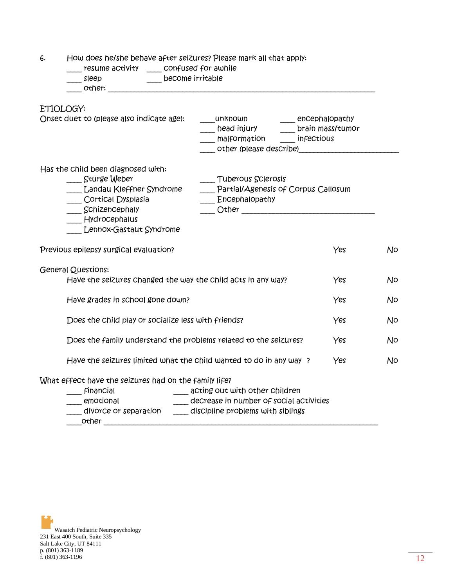6. How does he/she behave after seizures? Please mark all that apply:

| _ resume activity ____ confused for awhile<br>become irritable<br>sleep                                                                                                                                                                                                |     |    |
|------------------------------------------------------------------------------------------------------------------------------------------------------------------------------------------------------------------------------------------------------------------------|-----|----|
| ETIOLOGY:<br>Onset duet to (please also indicate age):<br>____unknown ______ encephalopathy<br>head injury head in the prain mass/tumor<br>malformation infectious<br>other (please describe)                                                                          |     |    |
| Has the child been diagnosed with:<br>Sturge Weber<br>Tuberous Sclerosis<br>Partial/Agenesis of Corpus Callosum<br>__ Landau Kleffner Syndrome<br>Cortical Dysplasia<br>___ Encephalopathy<br>$\frac{1}{2}$ Schizencephaly<br>Hydrocephalus<br>Lennox-Gastaut Syndrome |     |    |
| Previous epilepsy surgical evaluation?                                                                                                                                                                                                                                 | Yes | No |
| <b>General Questions:</b><br>Have the seizures changed the way the child acts in any way?                                                                                                                                                                              | Yes | No |
| Have grades in school gone down?                                                                                                                                                                                                                                       | Yes | No |
| Does the Child play or socialize less with friends?                                                                                                                                                                                                                    | Yes | No |
| Does the family understand the problems related to the seizures?                                                                                                                                                                                                       | Yes | No |
| Have the seizures limited what the child wanted to do in any way?                                                                                                                                                                                                      | Yes | No |
| What effect have the seizures had on the family life?<br>Financial<br>___ acting out with other children<br>decrease in number of social activities<br>emotional<br>divorce or separation<br>discipline problems with siblings<br>other                                |     |    |

Wasatch Pediatric Neuropsychology 231 East 400 South, Suite 335 Salt Lake City, UT 84111 p. (801) 363-1189 f. (801) 363-1196  $12$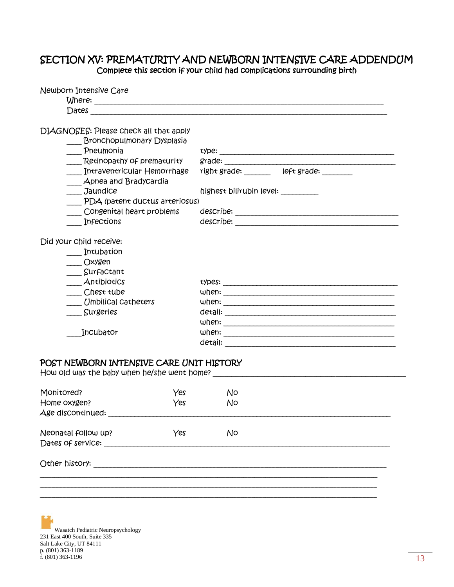### SECTION XV: PREMATURITY AND NEWBORN INTENSIVE CARE ADDENDUM Complete this section if your child had complications surrounding birth

| Newborn Intensive Care                                                                                                                                                                                                                                                  |                                                                      |  |  |  |  |  |  |  |
|-------------------------------------------------------------------------------------------------------------------------------------------------------------------------------------------------------------------------------------------------------------------------|----------------------------------------------------------------------|--|--|--|--|--|--|--|
| Dates and the contract of the contract of the contract of the contract of the contract of the contract of the contract of the contract of the contract of the contract of the contract of the contract of the contract of the                                           |                                                                      |  |  |  |  |  |  |  |
| DIAGNOSES: Please check all that apply<br><b>Bronchopulmonary Dysplasia</b><br>Pneumonia<br>Retinopathy of prematurity<br>Intraventricular Hemorrhage<br>Apnea and Bradycardia<br>Jaundice<br>PDA (patent ductus arteriosus)<br>Congenital heart problems<br>Infections | right grade: ________ left grade: ______<br>highest bilirubin level: |  |  |  |  |  |  |  |
| Did your child receive:<br>Intubation<br>$\overline{\phantom{a}}$ Oxygen<br>Surfactant<br>Antibiotics<br>__Chest tube<br>Umbilical catheters<br>Surgeries<br>Incubator                                                                                                  |                                                                      |  |  |  |  |  |  |  |
| POST NEWBORN INTENSIVE CARE UNIT HISTORY                                                                                                                                                                                                                                |                                                                      |  |  |  |  |  |  |  |
| Monitored?<br>Yes<br>Yes<br>Home oxygen?<br>Age discontinued:                                                                                                                                                                                                           | No<br>No                                                             |  |  |  |  |  |  |  |
| Yes<br>Neonatal follow up?<br>Dates of service: Dates of service:                                                                                                                                                                                                       | No                                                                   |  |  |  |  |  |  |  |
|                                                                                                                                                                                                                                                                         |                                                                      |  |  |  |  |  |  |  |
|                                                                                                                                                                                                                                                                         |                                                                      |  |  |  |  |  |  |  |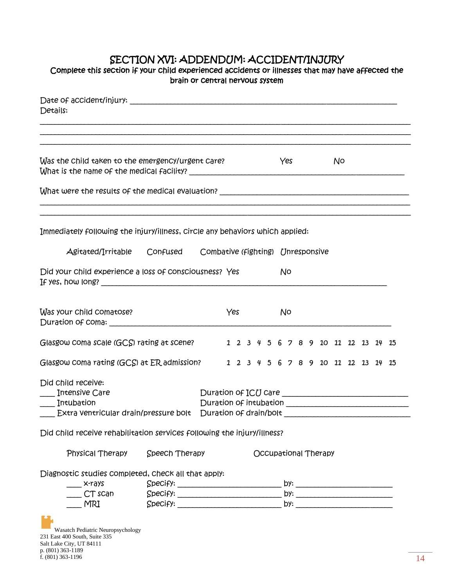# SECTION XVI: ADDENDUM: ACCIDENT/INJURY

| Complete this section if your child experienced accidents or illnesses that may have affected the                                                                                                        | brain or Central nervous system |                        |     |  |  |     |  |                                     |    |  |  |
|----------------------------------------------------------------------------------------------------------------------------------------------------------------------------------------------------------|---------------------------------|------------------------|-----|--|--|-----|--|-------------------------------------|----|--|--|
| Details:                                                                                                                                                                                                 |                                 |                        |     |  |  |     |  |                                     |    |  |  |
| Was the child taken to the emergency/urgent care?                                                                                                                                                        |                                 |                        |     |  |  | Yes |  |                                     | No |  |  |
|                                                                                                                                                                                                          |                                 |                        |     |  |  |     |  |                                     |    |  |  |
| Immediately following the injury/illness, circle any behaviors which applied:<br>Agitated/Irritable Confused Combative (fighting) Unresponsive<br>Did your child experience a loss of consciousness? Yes |                                 |                        |     |  |  | No  |  |                                     |    |  |  |
| Was your child comatose?                                                                                                                                                                                 |                                 |                        | Yes |  |  | No  |  |                                     |    |  |  |
| Glasgow coma scale (GCS) rating at scene?                                                                                                                                                                |                                 |                        |     |  |  |     |  | 1 2 3 4 5 6 7 8 9 10 11 12 13 14 15 |    |  |  |
| Glasgow coma rating (GCS) at ER admission?                                                                                                                                                               |                                 |                        |     |  |  |     |  | 1 2 3 4 5 6 7 8 9 10 11 12 13 14 15 |    |  |  |
| Did Child receive:<br>___ Intensive Care<br>Intubation                                                                                                                                                   |                                 | Duration of intubation |     |  |  |     |  |                                     |    |  |  |
| Did child receive rehabilitation services following the injury/illness?                                                                                                                                  |                                 |                        |     |  |  |     |  |                                     |    |  |  |
| Physical Therapy                                                                                                                                                                                         | Speech Therapy                  |                        |     |  |  |     |  | Occupational Therapy                |    |  |  |
| Diagnostic studies completed, check all that apply:<br>x-rays<br>CT scan<br>MRI                                                                                                                          | $Speci f$ ): $\qquad \qquad$    |                        |     |  |  |     |  |                                     |    |  |  |
|                                                                                                                                                                                                          |                                 |                        |     |  |  |     |  |                                     |    |  |  |

Wasatch Pediatric Neuropsychology 231 East 400 South, Suite 335 Salt Lake City, UT 84111 p. (801) 363-1189 f. (801) 363-1196  $14$